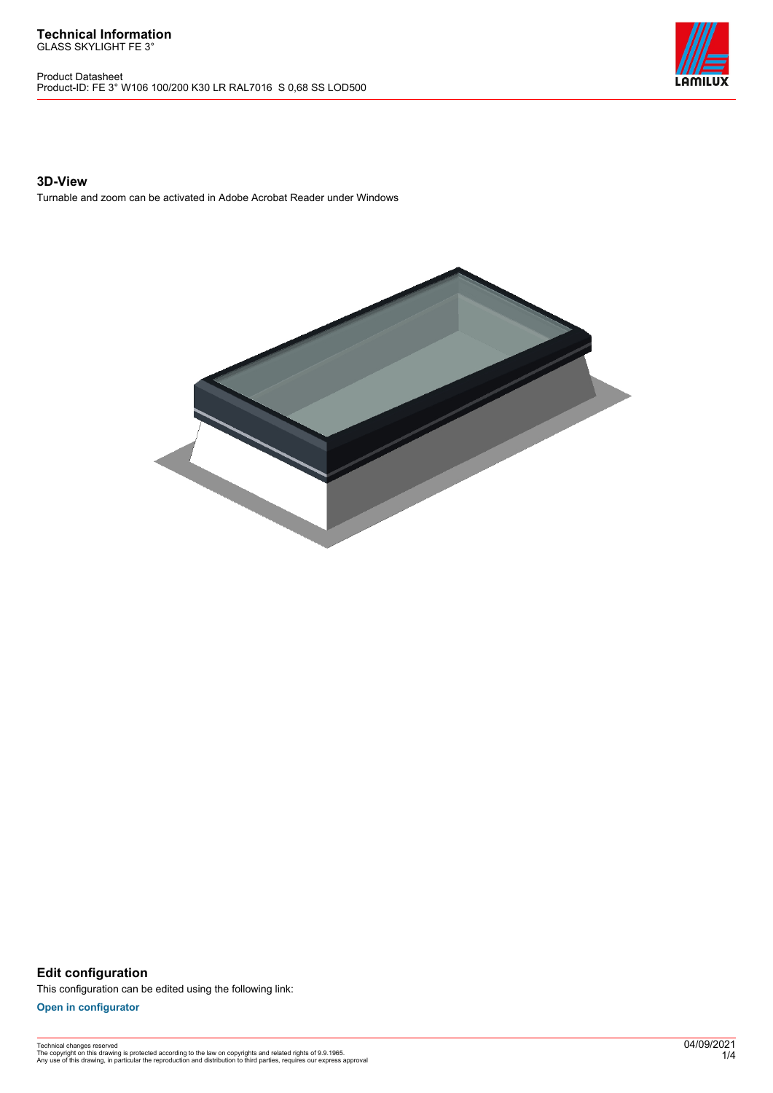Product Datasheet Product-ID: FE 3° W106 100/200 K30 LR RAL7016 S 0,68 SS LOD500



### **3D-View**

Turnable and zoom can be activated in Adobe Acrobat Reader under Windows



**Edit configuration** This configuration can be edited using the following link:

**[Open in configurator](https://bimconfig.lamilux.com//?quickcode=TYZRAB)**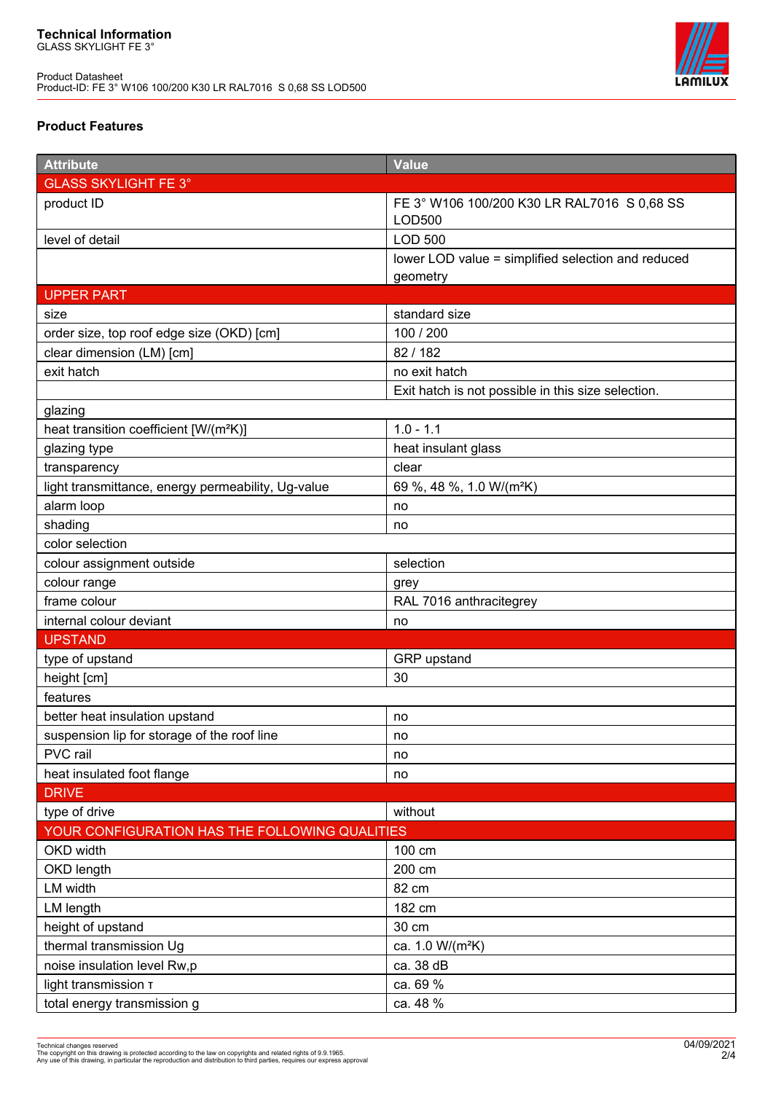

## **Product Features**

| <b>Attribute</b>                                   | <b>Value</b>                                                 |  |
|----------------------------------------------------|--------------------------------------------------------------|--|
| <b>GLASS SKYLIGHT FE 3°</b>                        |                                                              |  |
| product ID                                         | FE 3° W106 100/200 K30 LR RAL7016 S 0,68 SS<br><b>LOD500</b> |  |
| level of detail                                    | <b>LOD 500</b>                                               |  |
|                                                    | lower LOD value = simplified selection and reduced           |  |
|                                                    | geometry                                                     |  |
| <b>UPPER PART</b>                                  |                                                              |  |
| size                                               | standard size                                                |  |
| order size, top roof edge size (OKD) [cm]          | 100 / 200                                                    |  |
| clear dimension (LM) [cm]                          | 82/182                                                       |  |
| exit hatch                                         | no exit hatch                                                |  |
|                                                    | Exit hatch is not possible in this size selection.           |  |
| glazing                                            |                                                              |  |
| heat transition coefficient [W/(m <sup>2</sup> K)] | $1.0 - 1.1$                                                  |  |
| glazing type                                       | heat insulant glass                                          |  |
| transparency                                       | clear                                                        |  |
| light transmittance, energy permeability, Ug-value | 69 %, 48 %, 1.0 W/(m <sup>2</sup> K)                         |  |
| alarm loop                                         | no                                                           |  |
| shading                                            | no                                                           |  |
| color selection                                    |                                                              |  |
| colour assignment outside                          | selection                                                    |  |
| colour range                                       | grey                                                         |  |
| frame colour                                       | RAL 7016 anthracitegrey                                      |  |
| internal colour deviant                            | no                                                           |  |
| <b>UPSTAND</b>                                     |                                                              |  |
| type of upstand                                    | GRP upstand                                                  |  |
| height [cm]                                        | 30                                                           |  |
| features                                           |                                                              |  |
| better heat insulation upstand                     | no                                                           |  |
| suspension lip for storage of the roof line        | no                                                           |  |
| PVC rail                                           | no                                                           |  |
| heat insulated foot flange                         | no                                                           |  |
| <b>DRIVE</b>                                       |                                                              |  |
| type of drive                                      | without                                                      |  |
| YOUR CONFIGURATION HAS THE FOLLOWING QUALITIES     |                                                              |  |
| OKD width                                          | 100 cm                                                       |  |
| OKD length                                         | 200 cm                                                       |  |
| LM width                                           | 82 cm                                                        |  |
| LM length                                          | 182 cm                                                       |  |
| height of upstand                                  | 30 cm                                                        |  |
| thermal transmission Ug                            | ca. 1.0 W/(m <sup>2</sup> K)                                 |  |
| noise insulation level Rw,p                        | ca. 38 dB                                                    |  |
| light transmission T                               | ca. 69 %                                                     |  |
| total energy transmission g                        | ca. 48 %                                                     |  |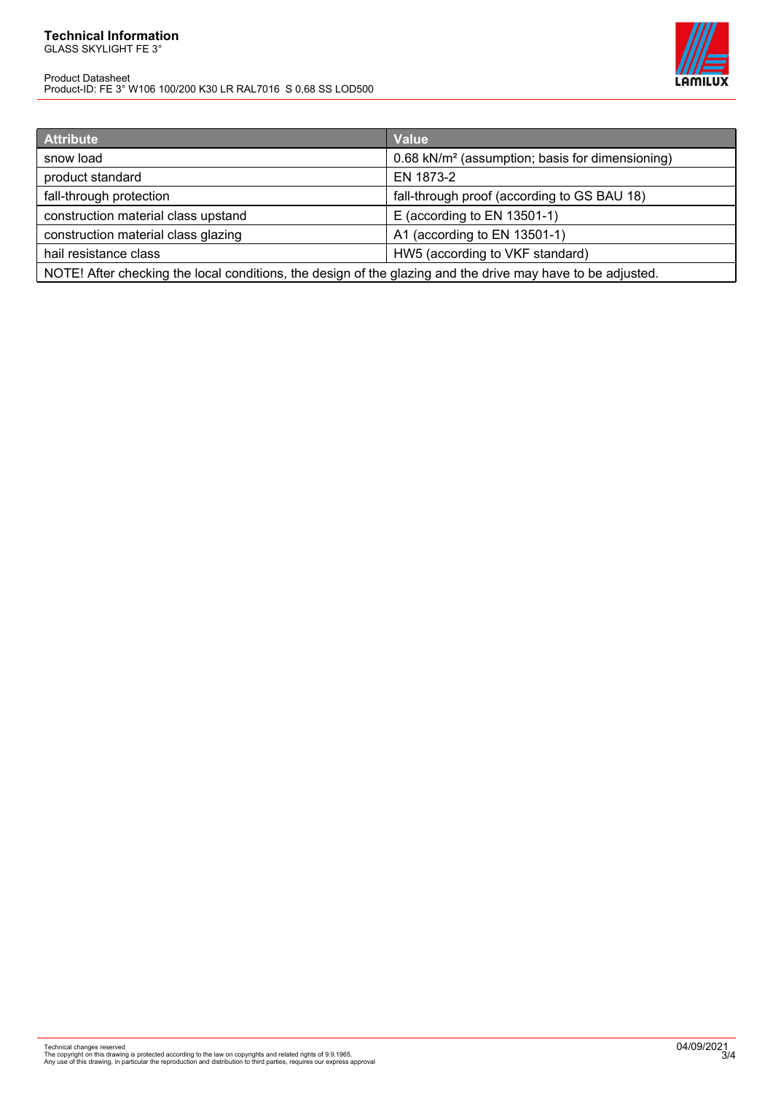#### **Technical Information** GLASS SKYLIGHT FE 3°

Product Datasheet Product-ID: FE 3° W106 100/200 K30 LR RAL7016 S 0,68 SS LOD500



| <b>Attribute</b>                                                                                            | <b>Value</b>                                                |
|-------------------------------------------------------------------------------------------------------------|-------------------------------------------------------------|
| snow load                                                                                                   | 0.68 kN/m <sup>2</sup> (assumption; basis for dimensioning) |
| product standard                                                                                            | EN 1873-2                                                   |
| fall-through protection                                                                                     | fall-through proof (according to GS BAU 18)                 |
| construction material class upstand                                                                         | $E$ (according to EN 13501-1)                               |
| construction material class glazing                                                                         | A1 (according to EN 13501-1)                                |
| hail resistance class                                                                                       | HW5 (according to VKF standard)                             |
| NOTE! After checking the local conditions, the design of the glazing and the drive may have to be adjusted. |                                                             |